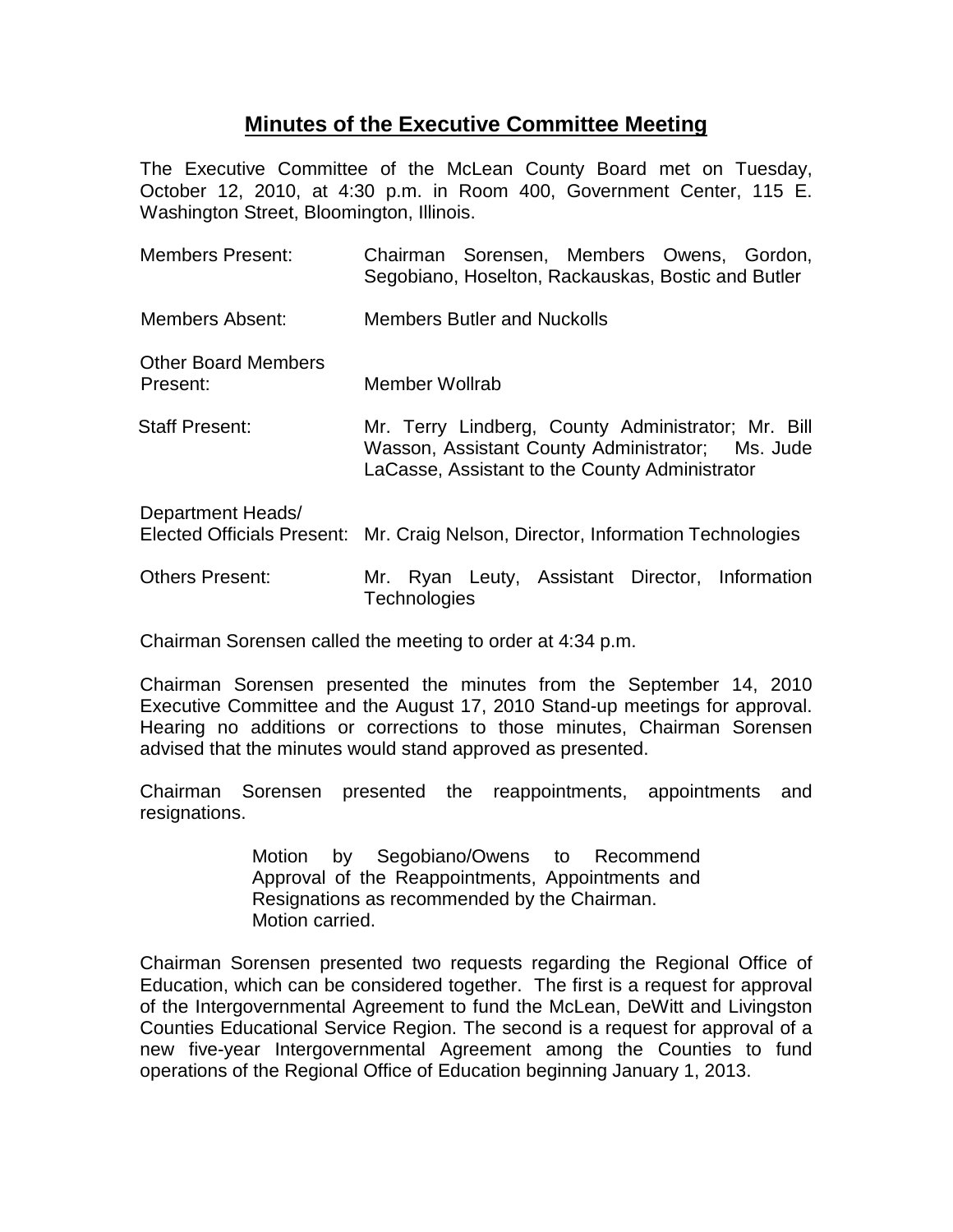# **Minutes of the Executive Committee Meeting**

The Executive Committee of the McLean County Board met on Tuesday, October 12, 2010, at 4:30 p.m. in Room 400, Government Center, 115 E. Washington Street, Bloomington, Illinois.

| <b>Members Present:</b>                | Chairman Sorensen, Members Owens, Gordon,<br>Segobiano, Hoselton, Rackauskas, Bostic and Butler                                                          |
|----------------------------------------|----------------------------------------------------------------------------------------------------------------------------------------------------------|
| Members Absent:                        | <b>Members Butler and Nuckolls</b>                                                                                                                       |
| <b>Other Board Members</b><br>Present: | Member Wollrab                                                                                                                                           |
| <b>Staff Present:</b>                  | Mr. Terry Lindberg, County Administrator; Mr. Bill<br>Wasson, Assistant County Administrator; Ms. Jude<br>LaCasse, Assistant to the County Administrator |
| Department Heads/                      | Elected Officials Present: Mr. Craig Nelson, Director, Information Technologies                                                                          |
| <b>Others Present:</b>                 | Ryan Leuty, Assistant Director, Information<br>Mr.<br>Technologies                                                                                       |

Chairman Sorensen called the meeting to order at 4:34 p.m.

Chairman Sorensen presented the minutes from the September 14, 2010 Executive Committee and the August 17, 2010 Stand-up meetings for approval. Hearing no additions or corrections to those minutes, Chairman Sorensen advised that the minutes would stand approved as presented.

Chairman Sorensen presented the reappointments, appointments and resignations.

> Motion by Segobiano/Owens to Recommend Approval of the Reappointments, Appointments and Resignations as recommended by the Chairman. Motion carried.

Chairman Sorensen presented two requests regarding the Regional Office of Education, which can be considered together. The first is a request for approval of the Intergovernmental Agreement to fund the McLean, DeWitt and Livingston Counties Educational Service Region. The second is a request for approval of a new five-year Intergovernmental Agreement among the Counties to fund operations of the Regional Office of Education beginning January 1, 2013.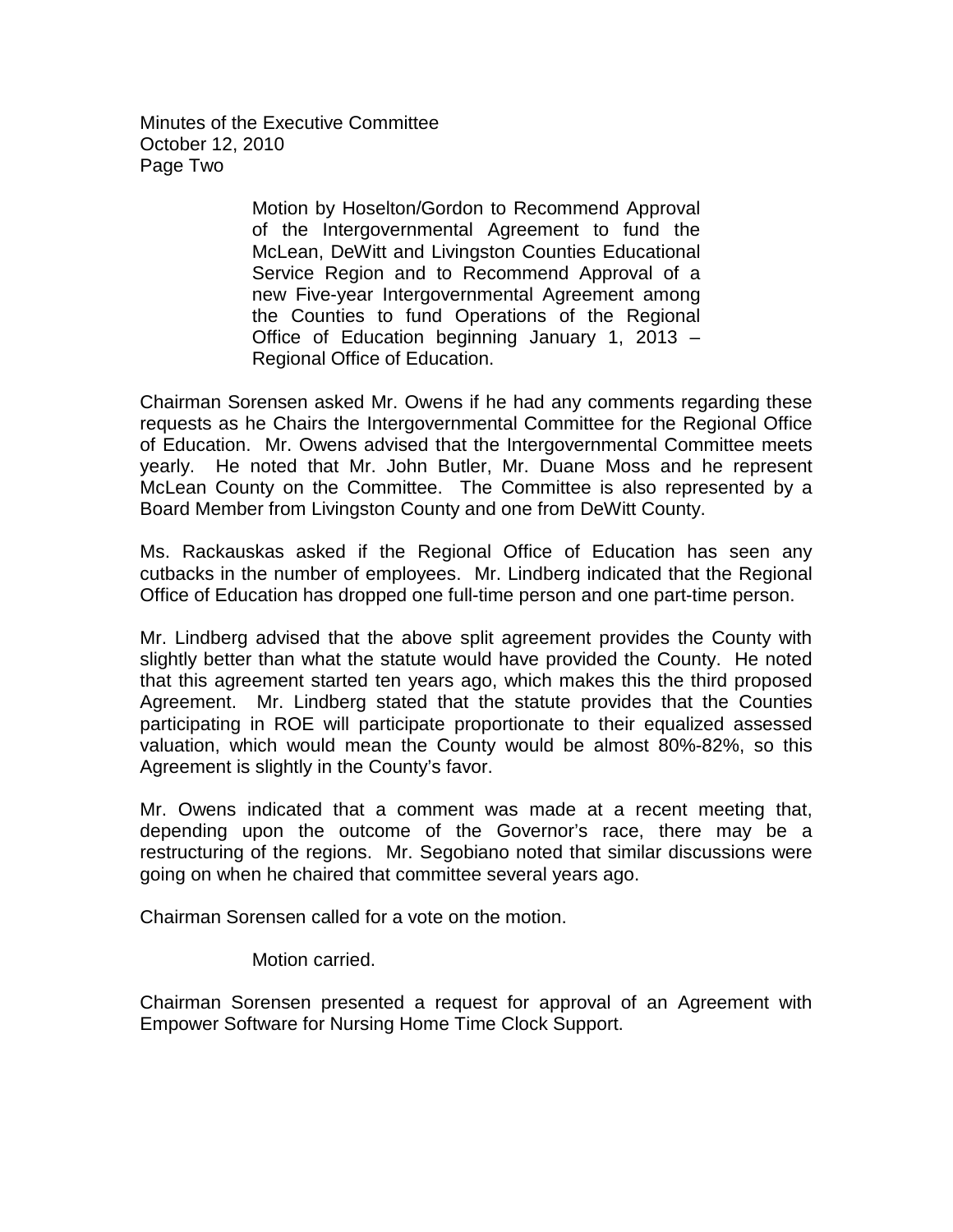Minutes of the Executive Committee October 12, 2010 Page Two

> Motion by Hoselton/Gordon to Recommend Approval of the Intergovernmental Agreement to fund the McLean, DeWitt and Livingston Counties Educational Service Region and to Recommend Approval of a new Five-year Intergovernmental Agreement among the Counties to fund Operations of the Regional Office of Education beginning January 1, 2013 – Regional Office of Education.

Chairman Sorensen asked Mr. Owens if he had any comments regarding these requests as he Chairs the Intergovernmental Committee for the Regional Office of Education. Mr. Owens advised that the Intergovernmental Committee meets yearly. He noted that Mr. John Butler, Mr. Duane Moss and he represent McLean County on the Committee. The Committee is also represented by a Board Member from Livingston County and one from DeWitt County.

Ms. Rackauskas asked if the Regional Office of Education has seen any cutbacks in the number of employees. Mr. Lindberg indicated that the Regional Office of Education has dropped one full-time person and one part-time person.

Mr. Lindberg advised that the above split agreement provides the County with slightly better than what the statute would have provided the County. He noted that this agreement started ten years ago, which makes this the third proposed Agreement. Mr. Lindberg stated that the statute provides that the Counties participating in ROE will participate proportionate to their equalized assessed valuation, which would mean the County would be almost 80%-82%, so this Agreement is slightly in the County's favor.

Mr. Owens indicated that a comment was made at a recent meeting that, depending upon the outcome of the Governor's race, there may be a restructuring of the regions. Mr. Segobiano noted that similar discussions were going on when he chaired that committee several years ago.

Chairman Sorensen called for a vote on the motion.

Motion carried.

Chairman Sorensen presented a request for approval of an Agreement with Empower Software for Nursing Home Time Clock Support.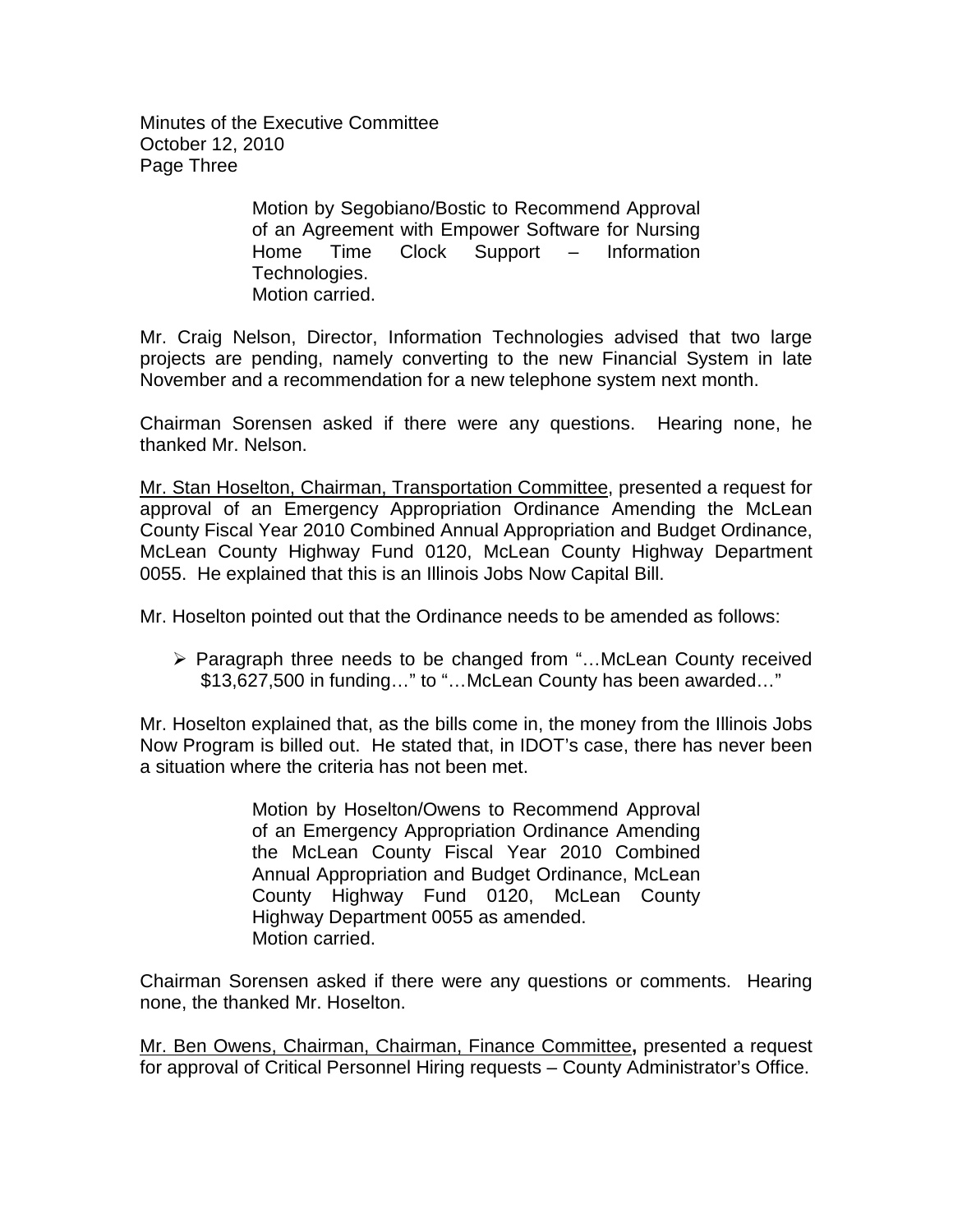Minutes of the Executive Committee October 12, 2010 Page Three

> Motion by Segobiano/Bostic to Recommend Approval of an Agreement with Empower Software for Nursing Home Time Clock Support – Information Technologies. Motion carried.

Mr. Craig Nelson, Director, Information Technologies advised that two large projects are pending, namely converting to the new Financial System in late November and a recommendation for a new telephone system next month.

Chairman Sorensen asked if there were any questions. Hearing none, he thanked Mr. Nelson.

Mr. Stan Hoselton, Chairman, Transportation Committee, presented a request for approval of an Emergency Appropriation Ordinance Amending the McLean County Fiscal Year 2010 Combined Annual Appropriation and Budget Ordinance, McLean County Highway Fund 0120, McLean County Highway Department 0055. He explained that this is an Illinois Jobs Now Capital Bill.

Mr. Hoselton pointed out that the Ordinance needs to be amended as follows:

 Paragraph three needs to be changed from "…McLean County received \$13,627,500 in funding…" to "…McLean County has been awarded…"

Mr. Hoselton explained that, as the bills come in, the money from the Illinois Jobs Now Program is billed out. He stated that, in IDOT's case, there has never been a situation where the criteria has not been met.

> Motion by Hoselton/Owens to Recommend Approval of an Emergency Appropriation Ordinance Amending the McLean County Fiscal Year 2010 Combined Annual Appropriation and Budget Ordinance, McLean County Highway Fund 0120, McLean County Highway Department 0055 as amended. Motion carried.

Chairman Sorensen asked if there were any questions or comments. Hearing none, the thanked Mr. Hoselton.

Mr. Ben Owens, Chairman, Chairman, Finance Committee**,** presented a request for approval of Critical Personnel Hiring requests – County Administrator's Office.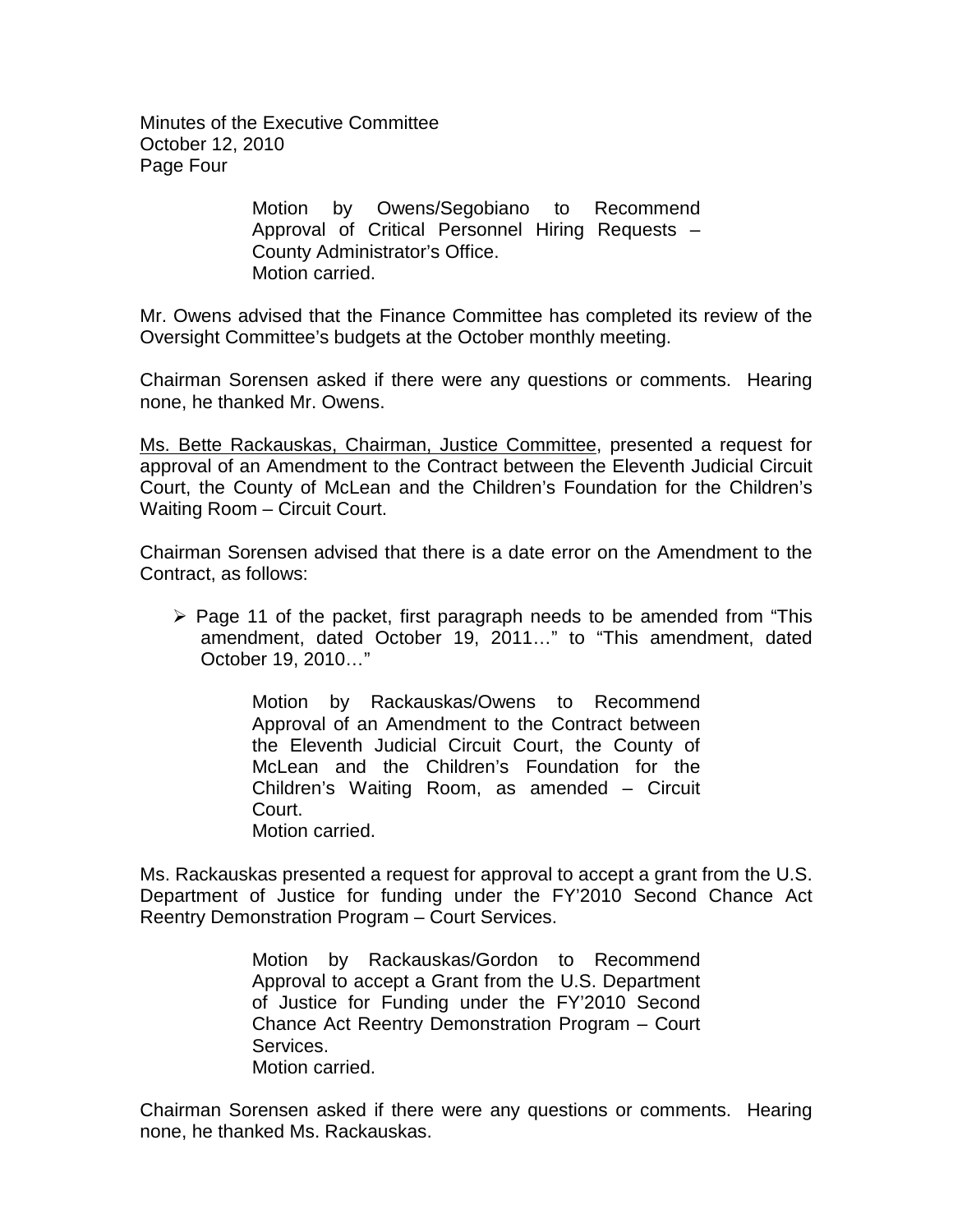Minutes of the Executive Committee October 12, 2010 Page Four

> Motion by Owens/Segobiano to Recommend Approval of Critical Personnel Hiring Requests – County Administrator's Office. Motion carried.

Mr. Owens advised that the Finance Committee has completed its review of the Oversight Committee's budgets at the October monthly meeting.

Chairman Sorensen asked if there were any questions or comments. Hearing none, he thanked Mr. Owens.

Ms. Bette Rackauskas, Chairman, Justice Committee, presented a request for approval of an Amendment to the Contract between the Eleventh Judicial Circuit Court, the County of McLean and the Children's Foundation for the Children's Waiting Room – Circuit Court.

Chairman Sorensen advised that there is a date error on the Amendment to the Contract, as follows:

 $\triangleright$  Page 11 of the packet, first paragraph needs to be amended from "This amendment, dated October 19, 2011…" to "This amendment, dated October 19, 2010…"

> Motion by Rackauskas/Owens to Recommend Approval of an Amendment to the Contract between the Eleventh Judicial Circuit Court, the County of McLean and the Children's Foundation for the Children's Waiting Room, as amended – Circuit Court. Motion carried.

Ms. Rackauskas presented a request for approval to accept a grant from the U.S. Department of Justice for funding under the FY'2010 Second Chance Act Reentry Demonstration Program – Court Services.

> Motion by Rackauskas/Gordon to Recommend Approval to accept a Grant from the U.S. Department of Justice for Funding under the FY'2010 Second Chance Act Reentry Demonstration Program – Court Services. Motion carried.

Chairman Sorensen asked if there were any questions or comments. Hearing none, he thanked Ms. Rackauskas.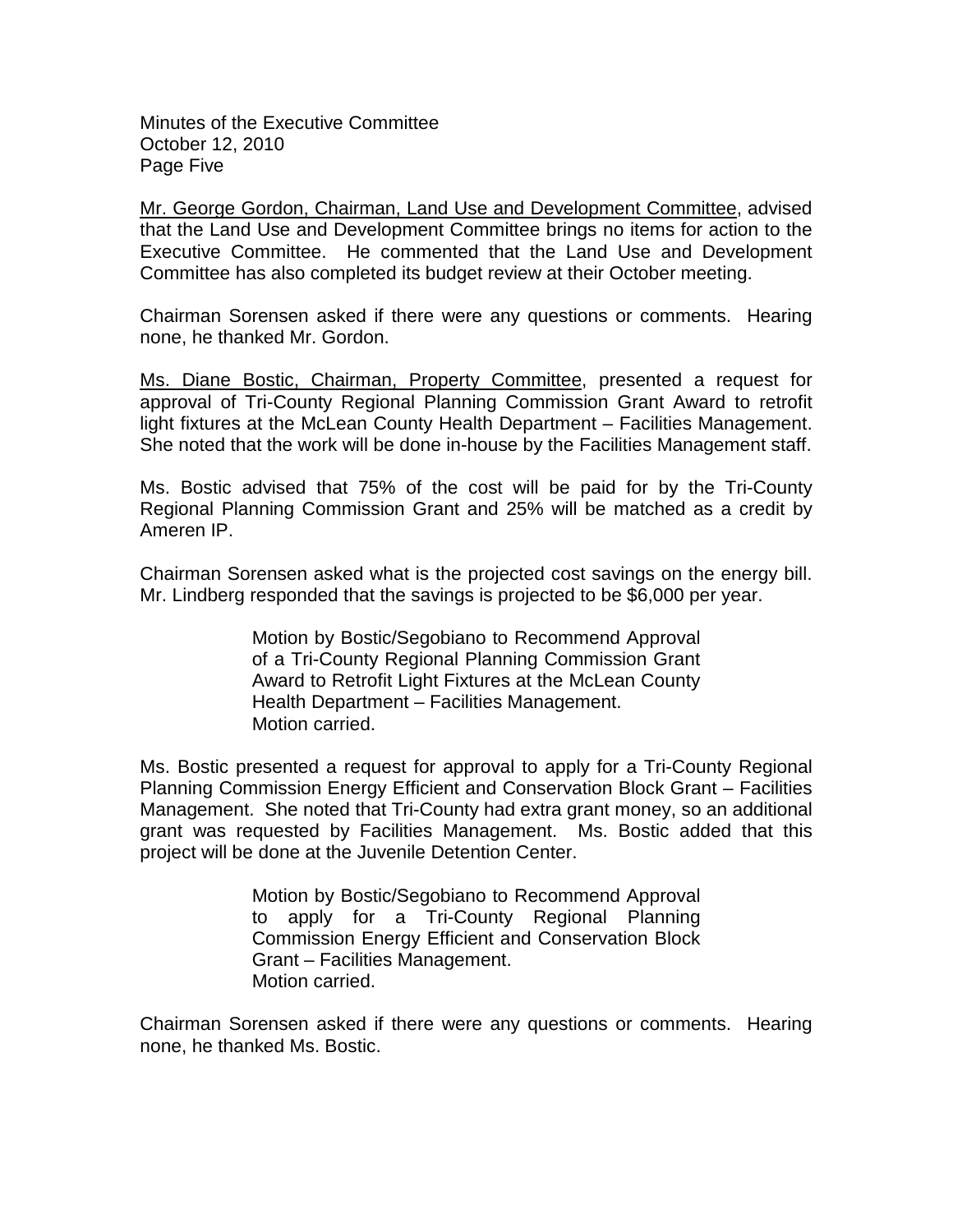Minutes of the Executive Committee October 12, 2010 Page Five

Mr. George Gordon, Chairman, Land Use and Development Committee, advised that the Land Use and Development Committee brings no items for action to the Executive Committee. He commented that the Land Use and Development Committee has also completed its budget review at their October meeting.

Chairman Sorensen asked if there were any questions or comments. Hearing none, he thanked Mr. Gordon.

Ms. Diane Bostic, Chairman, Property Committee, presented a request for approval of Tri-County Regional Planning Commission Grant Award to retrofit light fixtures at the McLean County Health Department – Facilities Management. She noted that the work will be done in-house by the Facilities Management staff.

Ms. Bostic advised that 75% of the cost will be paid for by the Tri-County Regional Planning Commission Grant and 25% will be matched as a credit by Ameren IP.

Chairman Sorensen asked what is the projected cost savings on the energy bill. Mr. Lindberg responded that the savings is projected to be \$6,000 per year.

> Motion by Bostic/Segobiano to Recommend Approval of a Tri-County Regional Planning Commission Grant Award to Retrofit Light Fixtures at the McLean County Health Department – Facilities Management. Motion carried.

Ms. Bostic presented a request for approval to apply for a Tri-County Regional Planning Commission Energy Efficient and Conservation Block Grant – Facilities Management. She noted that Tri-County had extra grant money, so an additional grant was requested by Facilities Management. Ms. Bostic added that this project will be done at the Juvenile Detention Center.

> Motion by Bostic/Segobiano to Recommend Approval to apply for a Tri-County Regional Planning Commission Energy Efficient and Conservation Block Grant – Facilities Management. Motion carried.

Chairman Sorensen asked if there were any questions or comments. Hearing none, he thanked Ms. Bostic.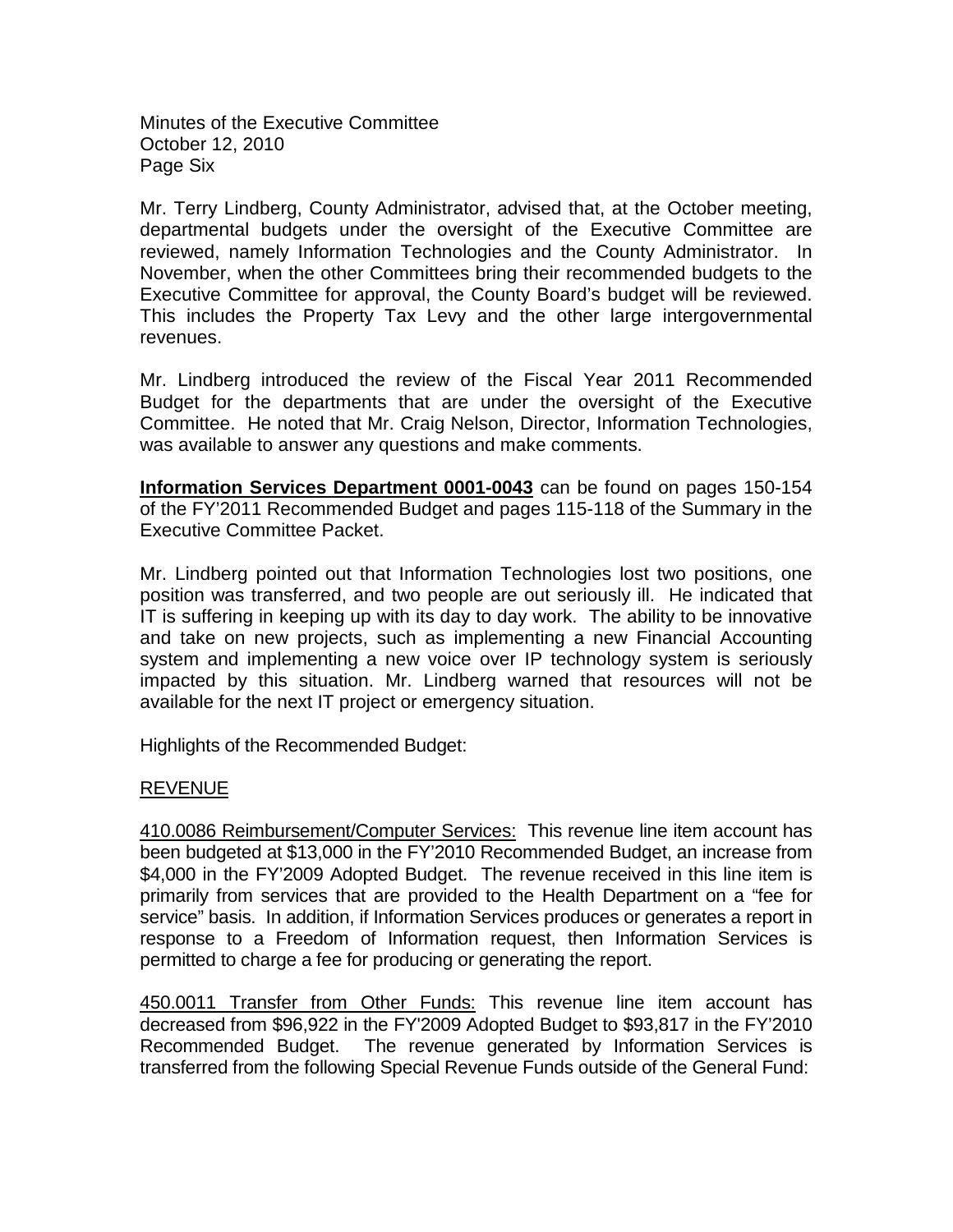Minutes of the Executive Committee October 12, 2010 Page Six

Mr. Terry Lindberg, County Administrator, advised that, at the October meeting, departmental budgets under the oversight of the Executive Committee are reviewed, namely Information Technologies and the County Administrator. In November, when the other Committees bring their recommended budgets to the Executive Committee for approval, the County Board's budget will be reviewed. This includes the Property Tax Levy and the other large intergovernmental revenues.

Mr. Lindberg introduced the review of the Fiscal Year 2011 Recommended Budget for the departments that are under the oversight of the Executive Committee. He noted that Mr. Craig Nelson, Director, Information Technologies, was available to answer any questions and make comments.

**Information Services Department 0001-0043** can be found on pages 150-154 of the FY'2011 Recommended Budget and pages 115-118 of the Summary in the Executive Committee Packet.

Mr. Lindberg pointed out that Information Technologies lost two positions, one position was transferred, and two people are out seriously ill. He indicated that IT is suffering in keeping up with its day to day work. The ability to be innovative and take on new projects, such as implementing a new Financial Accounting system and implementing a new voice over IP technology system is seriously impacted by this situation. Mr. Lindberg warned that resources will not be available for the next IT project or emergency situation.

Highlights of the Recommended Budget:

# REVENUE

410.0086 Reimbursement/Computer Services: This revenue line item account has been budgeted at \$13,000 in the FY'2010 Recommended Budget, an increase from \$4,000 in the FY'2009 Adopted Budget. The revenue received in this line item is primarily from services that are provided to the Health Department on a "fee for service" basis. In addition, if Information Services produces or generates a report in response to a Freedom of Information request, then Information Services is permitted to charge a fee for producing or generating the report.

450.0011 Transfer from Other Funds: This revenue line item account has decreased from \$96,922 in the FY'2009 Adopted Budget to \$93,817 in the FY'2010 Recommended Budget. The revenue generated by Information Services is transferred from the following Special Revenue Funds outside of the General Fund: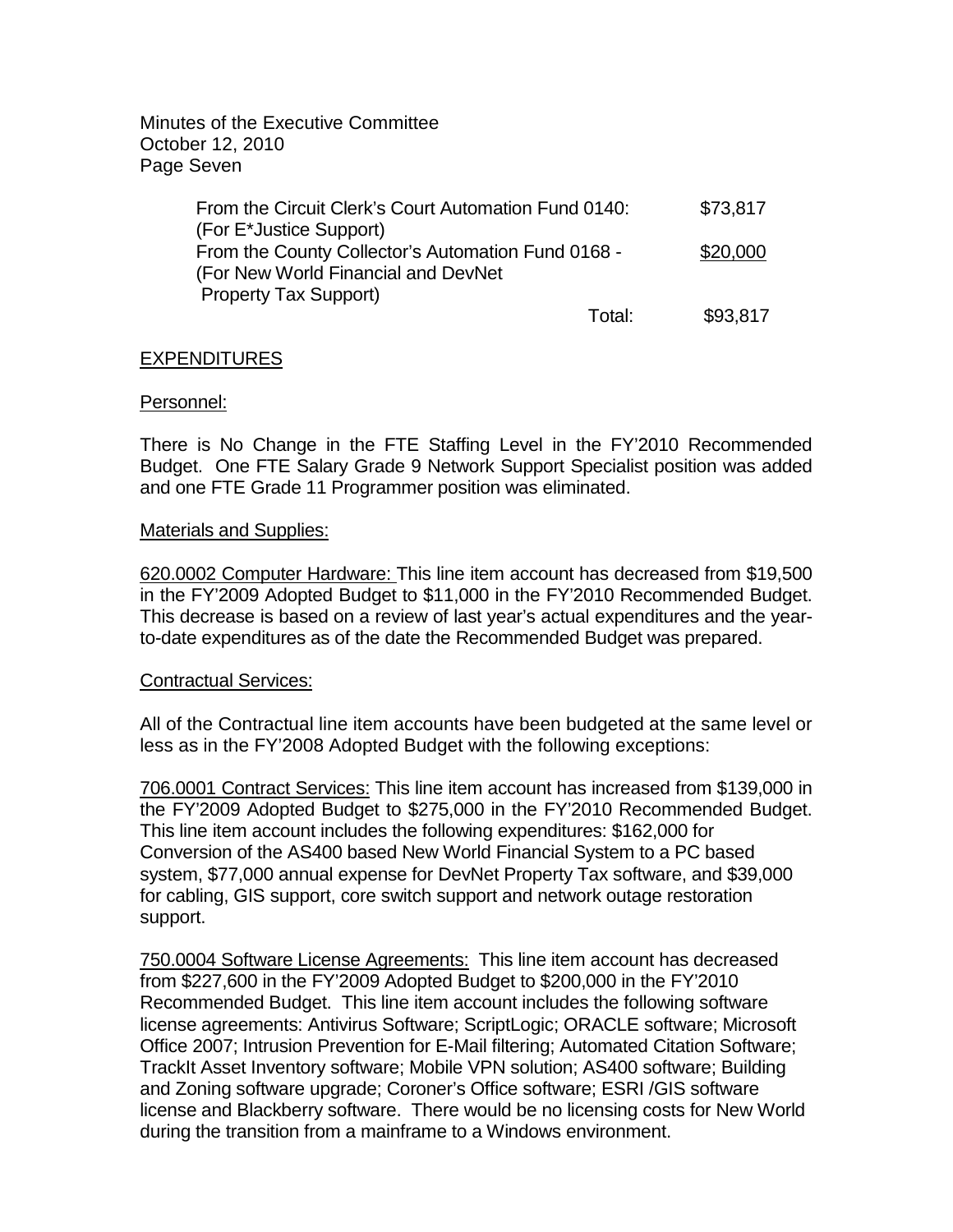Minutes of the Executive Committee October 12, 2010 Page Seven

| From the Circuit Clerk's Court Automation Fund 0140: | \$73,817           |
|------------------------------------------------------|--------------------|
| (For E*Justice Support)                              |                    |
| From the County Collector's Automation Fund 0168 -   | \$20,000           |
| (For New World Financial and DevNet                  |                    |
| <b>Property Tax Support)</b>                         |                    |
|                                                      | \$93,817<br>Total: |

## **EXPENDITURES**

## Personnel:

There is No Change in the FTE Staffing Level in the FY'2010 Recommended Budget. One FTE Salary Grade 9 Network Support Specialist position was added and one FTE Grade 11 Programmer position was eliminated.

## Materials and Supplies:

620.0002 Computer Hardware: This line item account has decreased from \$19,500 in the FY'2009 Adopted Budget to \$11,000 in the FY'2010 Recommended Budget. This decrease is based on a review of last year's actual expenditures and the yearto-date expenditures as of the date the Recommended Budget was prepared.

## Contractual Services:

All of the Contractual line item accounts have been budgeted at the same level or less as in the FY'2008 Adopted Budget with the following exceptions:

706.0001 Contract Services: This line item account has increased from \$139,000 in the FY'2009 Adopted Budget to \$275,000 in the FY'2010 Recommended Budget. This line item account includes the following expenditures: \$162,000 for Conversion of the AS400 based New World Financial System to a PC based system, \$77,000 annual expense for DevNet Property Tax software, and \$39,000 for cabling, GIS support, core switch support and network outage restoration support.

750.0004 Software License Agreements: This line item account has decreased from \$227,600 in the FY'2009 Adopted Budget to \$200,000 in the FY'2010 Recommended Budget. This line item account includes the following software license agreements: Antivirus Software; ScriptLogic; ORACLE software; Microsoft Office 2007; Intrusion Prevention for E-Mail filtering; Automated Citation Software; TrackIt Asset Inventory software; Mobile VPN solution; AS400 software; Building and Zoning software upgrade; Coroner's Office software; ESRI /GIS software license and Blackberry software. There would be no licensing costs for New World during the transition from a mainframe to a Windows environment.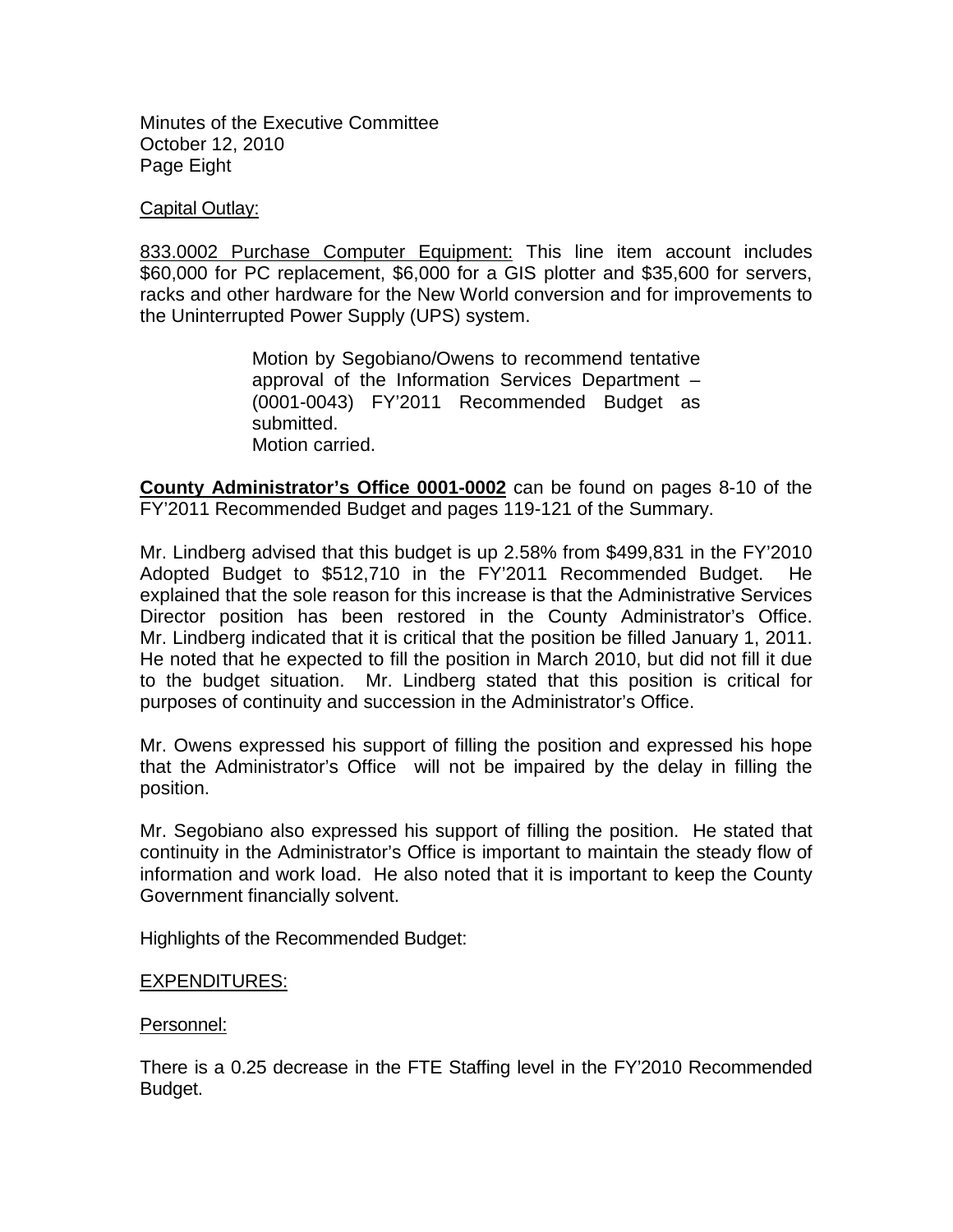Minutes of the Executive Committee October 12, 2010 Page Eight

## Capital Outlay:

833.0002 Purchase Computer Equipment: This line item account includes \$60,000 for PC replacement, \$6,000 for a GIS plotter and \$35,600 for servers, racks and other hardware for the New World conversion and for improvements to the Uninterrupted Power Supply (UPS) system.

> Motion by Segobiano/Owens to recommend tentative approval of the Information Services Department – (0001-0043) FY'2011 Recommended Budget as submitted. Motion carried.

**County Administrator's Office 0001-0002** can be found on pages 8-10 of the FY'2011 Recommended Budget and pages 119-121 of the Summary.

Mr. Lindberg advised that this budget is up 2.58% from \$499,831 in the FY'2010 Adopted Budget to \$512,710 in the FY'2011 Recommended Budget. He explained that the sole reason for this increase is that the Administrative Services Director position has been restored in the County Administrator's Office. Mr. Lindberg indicated that it is critical that the position be filled January 1, 2011. He noted that he expected to fill the position in March 2010, but did not fill it due to the budget situation. Mr. Lindberg stated that this position is critical for purposes of continuity and succession in the Administrator's Office.

Mr. Owens expressed his support of filling the position and expressed his hope that the Administrator's Office will not be impaired by the delay in filling the position.

Mr. Segobiano also expressed his support of filling the position. He stated that continuity in the Administrator's Office is important to maintain the steady flow of information and work load. He also noted that it is important to keep the County Government financially solvent.

Highlights of the Recommended Budget:

## EXPENDITURES:

## Personnel:

There is a 0.25 decrease in the FTE Staffing level in the FY'2010 Recommended Budget.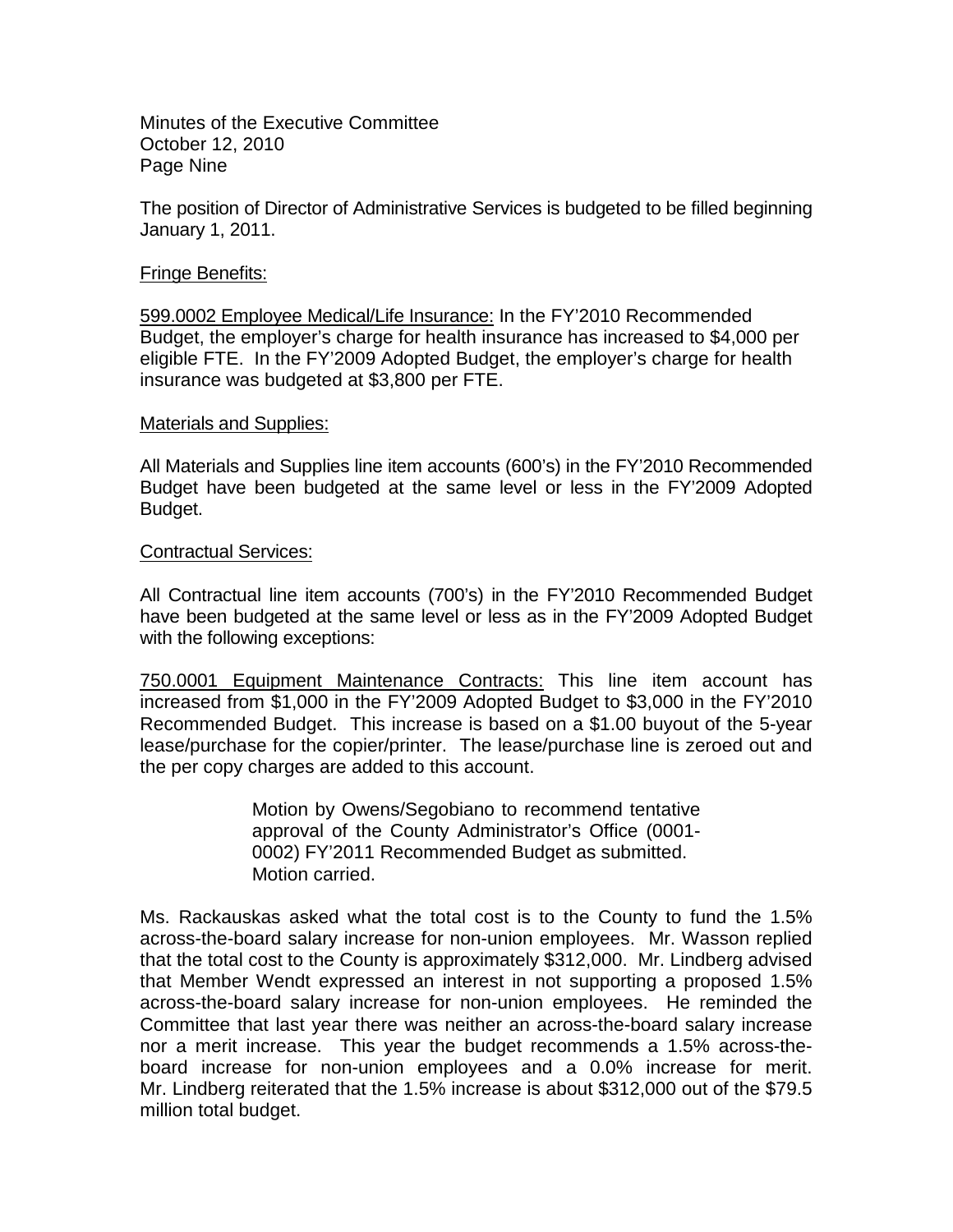Minutes of the Executive Committee October 12, 2010 Page Nine

The position of Director of Administrative Services is budgeted to be filled beginning January 1, 2011.

## Fringe Benefits:

599.0002 Employee Medical/Life Insurance: In the FY'2010 Recommended Budget, the employer's charge for health insurance has increased to \$4,000 per eligible FTE. In the FY'2009 Adopted Budget, the employer's charge for health insurance was budgeted at \$3,800 per FTE.

#### Materials and Supplies:

All Materials and Supplies line item accounts (600's) in the FY'2010 Recommended Budget have been budgeted at the same level or less in the FY'2009 Adopted Budget.

#### Contractual Services:

All Contractual line item accounts (700's) in the FY'2010 Recommended Budget have been budgeted at the same level or less as in the FY'2009 Adopted Budget with the following exceptions:

750.0001 Equipment Maintenance Contracts: This line item account has increased from \$1,000 in the FY'2009 Adopted Budget to \$3,000 in the FY'2010 Recommended Budget. This increase is based on a \$1.00 buyout of the 5-year lease/purchase for the copier/printer. The lease/purchase line is zeroed out and the per copy charges are added to this account.

> Motion by Owens/Segobiano to recommend tentative approval of the County Administrator's Office (0001- 0002) FY'2011 Recommended Budget as submitted. Motion carried.

Ms. Rackauskas asked what the total cost is to the County to fund the 1.5% across-the-board salary increase for non-union employees. Mr. Wasson replied that the total cost to the County is approximately \$312,000. Mr. Lindberg advised that Member Wendt expressed an interest in not supporting a proposed 1.5% across-the-board salary increase for non-union employees. He reminded the Committee that last year there was neither an across-the-board salary increase nor a merit increase. This year the budget recommends a 1.5% across-theboard increase for non-union employees and a 0.0% increase for merit. Mr. Lindberg reiterated that the 1.5% increase is about \$312,000 out of the \$79.5 million total budget.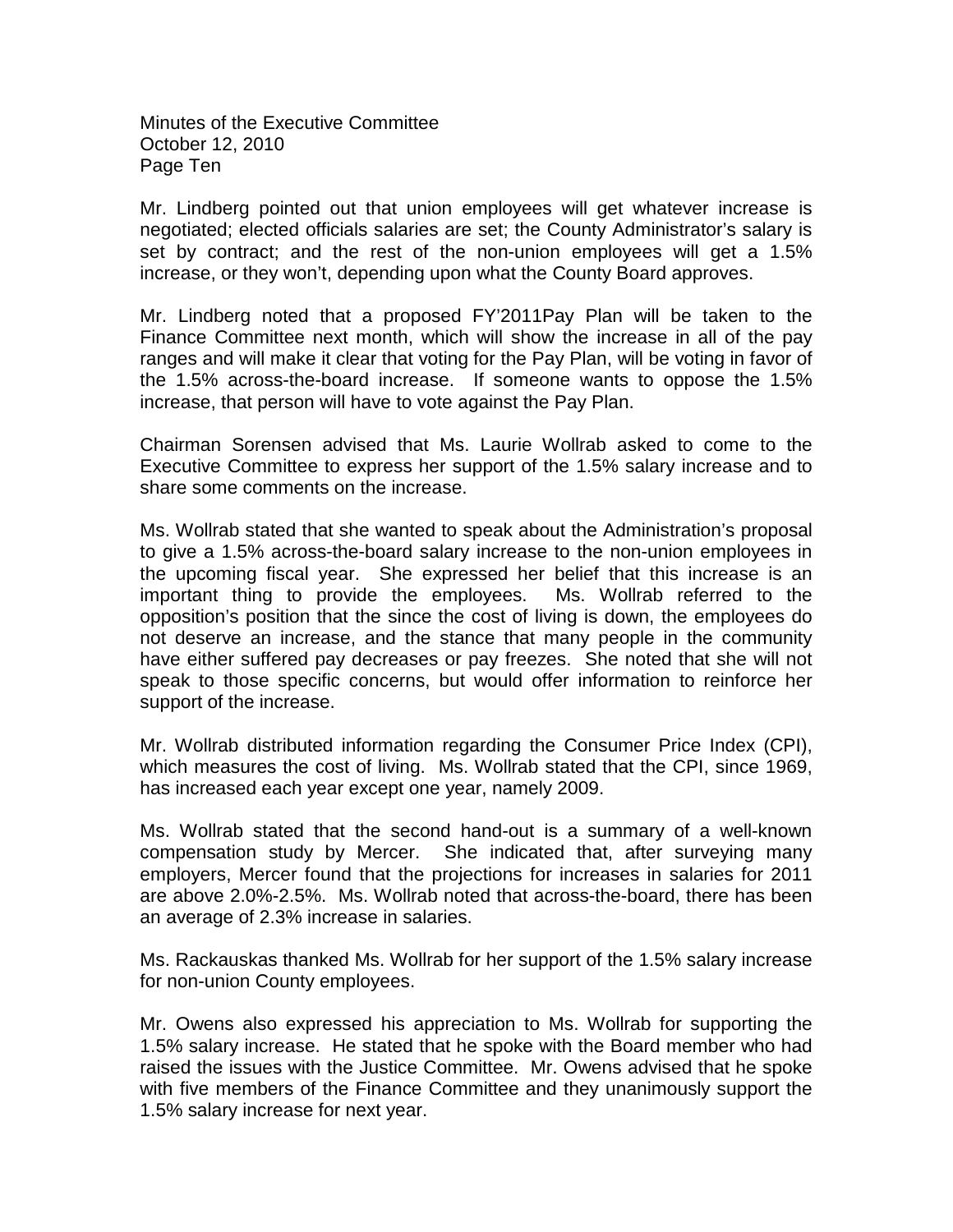Minutes of the Executive Committee October 12, 2010 Page Ten

Mr. Lindberg pointed out that union employees will get whatever increase is negotiated; elected officials salaries are set; the County Administrator's salary is set by contract; and the rest of the non-union employees will get a 1.5% increase, or they won't, depending upon what the County Board approves.

Mr. Lindberg noted that a proposed FY'2011Pay Plan will be taken to the Finance Committee next month, which will show the increase in all of the pay ranges and will make it clear that voting for the Pay Plan, will be voting in favor of the 1.5% across-the-board increase. If someone wants to oppose the 1.5% increase, that person will have to vote against the Pay Plan.

Chairman Sorensen advised that Ms. Laurie Wollrab asked to come to the Executive Committee to express her support of the 1.5% salary increase and to share some comments on the increase.

Ms. Wollrab stated that she wanted to speak about the Administration's proposal to give a 1.5% across-the-board salary increase to the non-union employees in the upcoming fiscal year. She expressed her belief that this increase is an important thing to provide the employees. Ms. Wollrab referred to the opposition's position that the since the cost of living is down, the employees do not deserve an increase, and the stance that many people in the community have either suffered pay decreases or pay freezes. She noted that she will not speak to those specific concerns, but would offer information to reinforce her support of the increase.

Mr. Wollrab distributed information regarding the Consumer Price Index (CPI), which measures the cost of living. Ms. Wollrab stated that the CPI, since 1969, has increased each year except one year, namely 2009.

Ms. Wollrab stated that the second hand-out is a summary of a well-known compensation study by Mercer. She indicated that, after surveying many employers, Mercer found that the projections for increases in salaries for 2011 are above 2.0%-2.5%. Ms. Wollrab noted that across-the-board, there has been an average of 2.3% increase in salaries.

Ms. Rackauskas thanked Ms. Wollrab for her support of the 1.5% salary increase for non-union County employees.

Mr. Owens also expressed his appreciation to Ms. Wollrab for supporting the 1.5% salary increase. He stated that he spoke with the Board member who had raised the issues with the Justice Committee. Mr. Owens advised that he spoke with five members of the Finance Committee and they unanimously support the 1.5% salary increase for next year.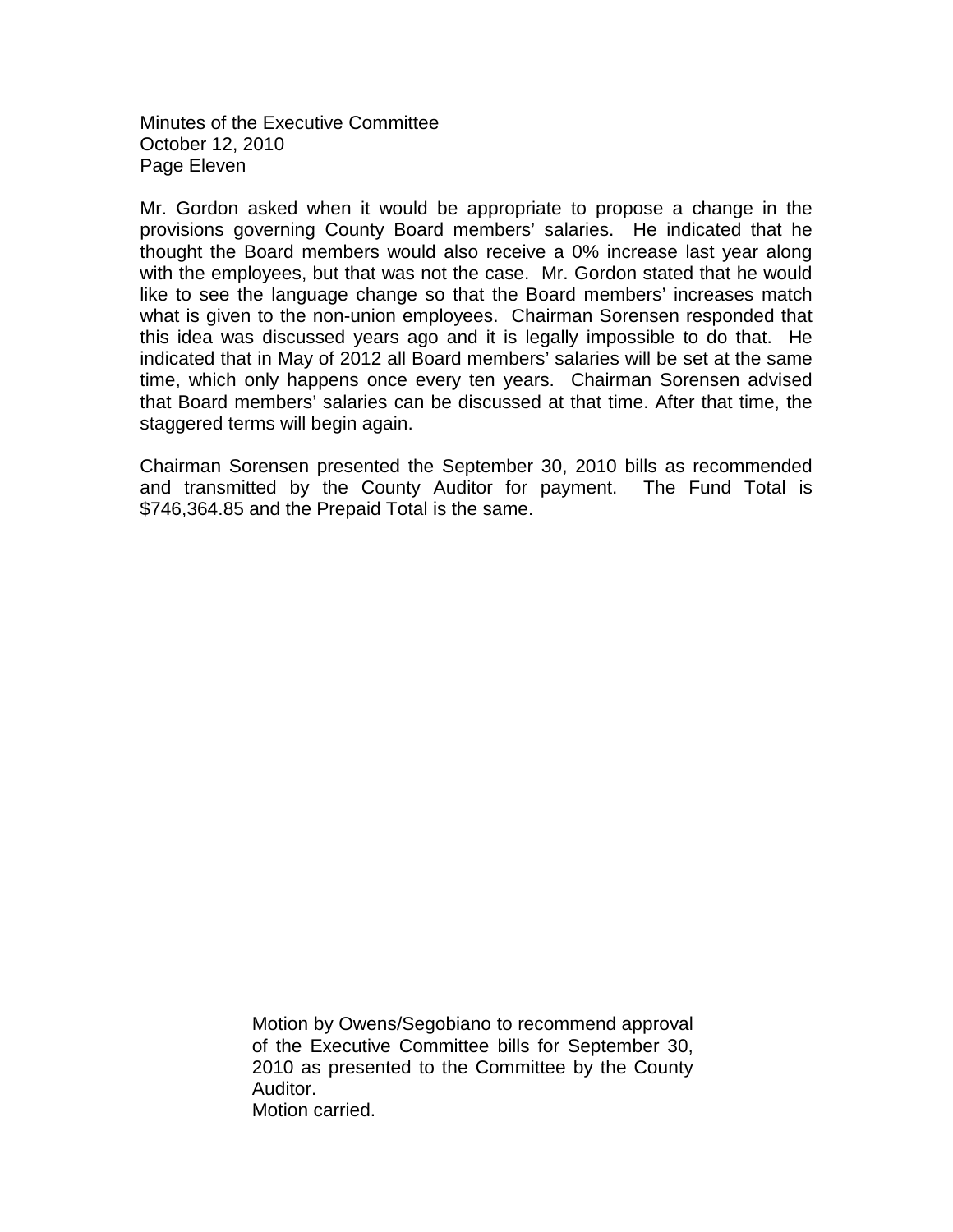Minutes of the Executive Committee October 12, 2010 Page Eleven

Mr. Gordon asked when it would be appropriate to propose a change in the provisions governing County Board members' salaries. He indicated that he thought the Board members would also receive a 0% increase last year along with the employees, but that was not the case. Mr. Gordon stated that he would like to see the language change so that the Board members' increases match what is given to the non-union employees. Chairman Sorensen responded that this idea was discussed years ago and it is legally impossible to do that. He indicated that in May of 2012 all Board members' salaries will be set at the same time, which only happens once every ten years. Chairman Sorensen advised that Board members' salaries can be discussed at that time. After that time, the staggered terms will begin again.

Chairman Sorensen presented the September 30, 2010 bills as recommended and transmitted by the County Auditor for payment. The Fund Total is \$746,364.85 and the Prepaid Total is the same.

> Motion by Owens/Segobiano to recommend approval of the Executive Committee bills for September 30, 2010 as presented to the Committee by the County Auditor. Motion carried.